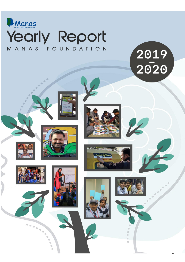

2019<br>2020



© Manas Foundation 2020











 $\cup$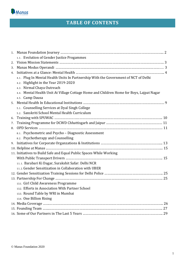

## **TABLE OF CONTENTS**

|    | 1.1. Evolution of Gender Justice Progammes                                               |
|----|------------------------------------------------------------------------------------------|
|    |                                                                                          |
| 3. |                                                                                          |
| 4. |                                                                                          |
|    | 4.1. Plug In Mental Health Units In Partnership With the Government of NCT of Delhi      |
|    | 4.2. Highlight in the Year 2019-2020                                                     |
|    | 4.3. Nirmal Chaya Outreach                                                               |
|    | 4.4. Mental Health Unit At Village Cottage Home and Children Home for Boys, Lajpat Nagar |
|    | 4.5. Camp Dausa                                                                          |
|    |                                                                                          |
|    | 5.1. Counselling Services at Dyal Singh College                                          |
|    | 5.2. Sanskriti School Mental Health Curriculum                                           |
| 6. |                                                                                          |
| 7. |                                                                                          |
| 8. |                                                                                          |
|    | 8.1. Psychometric and Psycho - Diagnostic Assessment                                     |
|    | 8.2. Psychotherapy and Counselling                                                       |
|    |                                                                                          |
|    |                                                                                          |
|    | 11. Initiatives to Build Safe and Equal Public Spaces While Working                      |
|    |                                                                                          |
|    | 11.1. Barabari Ki Dagar, Surakshit Safar: Delhi NCR                                      |
|    | 11.2. Gender Sensitization in Collaboration with UBER                                    |
|    |                                                                                          |
|    |                                                                                          |
|    | 13.1. Girl Child Awareness Programme                                                     |
|    | 13.2. Efforts in Association With Partner School                                         |
|    | 13.3. Round Table by WRI in Mumbai                                                       |
|    | 13.4. One Billion Rising                                                                 |
|    |                                                                                          |
|    |                                                                                          |
|    |                                                                                          |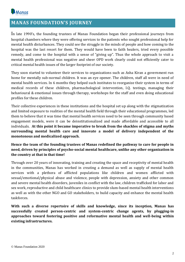

## **MANAS FOUNDATION'S JOURNEY**

In late 1990's, the founding trustees of Manas Foundation began their professional journeys from hospital chambers where they were offering services to the patients who sought professional help for mental health disturbances. They could see the struggle in the minds of people and how coming to the hospital was the last resort for them. They would have been to faith healers, tried every possible remedy, and come to the hospital with a sense of "giving up". Thus the whole approach to visit a mental health professional was negative and sheer OPD work clearly could not efficiently cater to critical mental health issues of the larger footprint of our society.

They soon started to volunteer their services to organizations such as Asha Kiran a government run home for mentally sub-normal children. It was an eye opener. The children, staff all were in need of mental health services. In 6 months they helped such institutes to reorganize their system in terms of medical records of these children, pharmachological intervention, I.Q. testings, managing their behavioural & emotional issues through therapy, workshops for the staff and even doing educational profiles for these children.

Their collective experiences in these institutions and the hospital set up along with the stigmatization and limited exposure to realities of the mental health field through their educational programmes, led them to believe that it was time that mental health services need to be seen through community based engagement models, were it can be deinstitutionalized and made affordable and accessible to all individuals. **At this point it became imperative to break from the shackles of stigma and myths surrounding mental health care and innovate a model of delivery independent of the monotonous and medicalized approach.** 

### **Hence the team of the founding trustees of Manas redefined the pathway to care for people in need, driven by principles of psycho-social mental healthcare, unlike any other organization in the country at that in that time!**

Through over 20 years of innovating, training and creating the space and receptivity of mental health in the communities, Manas has worked in creating a demand as well as supply of mental health services with a plethora of afflicted populations like children and women afflicted with sexual/emotional/physical abuse and violence, people with depression, anxiety and other common and severe mental health disorders, juveniles in conflict with the law, children trafficked for labor and sex work, reproductive and child healthcare clinics to provide slum-based mental health interventions as well as with the other NGO and GO stakeholders, to build capacity and enhance the mental health taskforces.

**With such a diverse repertoire of skills and knowledge, since its inception, Manas has successfully created person-centric and system-centric change agents, by plugging-in approaches toward fostering positive and reformative mental health and well-being within existing infrastructures.**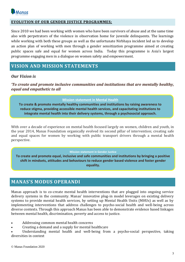

### **EVOLUTION OF OUR GENDER JUSTICE PROGRAMMES;**

Since 2010 we had been working with women who have been survivors of abuse and at the same time also with perpetrators of the violence in observation home for juvenile delinquents. The learnings while working with both these groups as well as the unfortunate Nirbhaya incident led us to develop an action plan of working with men through a gender sensitization programme aimed at creating public spaces safe and equal for women across India. Today this programme is Asia's largest programme engaging men in a dialogue on women safety and empowerment.

### **VISION AND MISSION STATEMENTS**

### *Our Vision is*

*'To create and promote inclusive communities and institutions that are mentally healthy, equal and empathetic to all*

### **Mission statement in Mental Health**

**To create & promote mentally healthy communities and institutions by raising awareness to reduce stigma, providing accessible mental health services, and capacitating institutions to integrate mental health into their delivery systems, through a psychosocial approach.**

With over a decade of experience on mental health focused largely on women, children and youth, in the year 2014, Manas Foundation organically evolved its second pillar of intervention; creating safe and equal spaces for women by working with public transport drivers through a mental health perspective.

#### **Mission statement in Gender Justice**

**To create and promote equal, inclusive and safe communities and institutions by bringing a positive shift in mindsets, attitudes and behaviours to reduce gender based violence and foster gender equality.**

### **MANAS'S MODUS OPERANDI**

Manas approach is to co-create mental health interventions that are plugged into ongoing service delivery systems in the community. Manas' innovative plug-in model leverages on existing delivery systems to provide mental health services, by setting up Mental Health Units (MHUs) as well as by implementing interventions that address challenges to psycho-social health and well-being across diverse contexts. Through this approach Manas has been able to demonstrate evidence based linkages between mental health, discrimination, poverty and access to justice.

- Addressing common mental health concerns
- Creating a demand and a supply for mental healthcare

Understanding mental health and well-being from a psycho-social perspective, taking diversities in context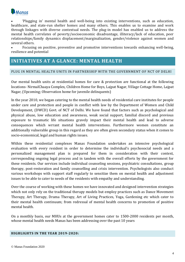

• 'Plugging in' mental health and well-being into existing interventions, such as education, healthcare, and state-run shelter homes and many others. This enables us to examine and work through linkages with diverse contextual needs. The plug-in model has enabled us to address the mental health correlates of poverty/socioeconomic disadvantage, illiteracy/lack of education, peer relationships/family dynamics displacement/marginalization, gender/violence against women and several others.

• Focusing on positive, preventive and promotive interventions towards enhancing well-being, resilience and potential

### **INITIATIVES AT A GLANCE: MENTAL HEALTH**

### PLUG IN MENTAL HEALTH UNITS IN PARTNERSHIP WITH THE GOVERNMENT OF NCT OF DELHI

Our mental health units at residential homes for care & protection are functional at the following locations- NirmalChaaya Complex, Children Home for Boys, Lajpat Nagar, Village Cottage Home, Lajpat Nagar, (Upcoming; Observation home for juvenile delinquents)

In the year 2010, we began catering to the mental health needs of residential care institutes for people under care and protection and people in conflict with law by the Department of Women and Child Development, (DWCD) Govt. of NCT of Delhi. We have found that factors such as psychological and physical abuse, low education and awareness, weak social support, familial discord and previous exposure to traumatic life situations gravely impact their mental health and lead to adverse consequences which wrrant mental health interventions. Furthermore women constitute an additionally vulnerable group in this regard as they are often given secondary status when it comes to socio-economical, legal and human rights issues.

Within these residential complexes Manas Foundation undertakes an intensive psychological evaluation with every resident in order to determine the individual's psychosocial needs and a personalized management plan is prepared for them in consideration with their context, corresponding ongoing legal process and in tandem with the overall efforts by the government for these residents. Our services include individual counseling sessions, psychiatric consultations, group therapy, post-restoration and family counselling and crisis intervention. Psychologists also conduct various workshops with support staff regularly to sensitize them on mental health and adjustment issues to be able to cater to needs of the residents with empathy and understanding.

Over the course of working with these homes we have innovated and designed intervention strategies which not only rely on the traditional therapy models but employ practices such as Dance Movement Therapy, Art Therapy, Drama Therapy, Art of Living Practices, Yoga, Gardening etc which cater to their mental health continuum; from redressal of mental health concerns to promotion of positive mental health.

On a monthly basis, our MHUs at the government homes cater to 1500-2000 residents per month, whose mental health needs Manas has been addressing over the past 10 years

### **HIGHLIGHTS IN THE YEAR 2019-2020:**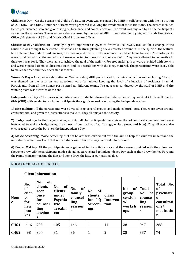

**Children's Day** – On the occasion of Children's Day, an event was organised by MHU in collaboration with the institution of SSH, CHG 3 and OHG. A number of items were prepared involving the residents of the institutions. The events included Dance performance, solo and group, song performance, and poem recitation. The event was enjoyed by all, the participants as well as the attendees. The event was also anchored by the staff of MHU. It was attended by higher officials like District Officer, Magistrate (of JJB), and District Child Protection Officer.

**Christmas Day Celebration** – Usually a great importance is given to festivals like Diwali, Holi, so for a change in the routine it was thought to celebrate Christmas as a festival, planning a few activities around it. In the spirit of the festival, MHU planned to conduct mask making, tree making and quiz with the residents of children home for girls. The participants were provided with all the material and were expected to make Santa masks out of it. They were allowed to be creative in their own way for it. They were able to achieve the goal of the activity. For tree making, they were provided with stencils and were expected to make Christmas trees, and its decorations with the fancy material. The participants were easily able to make the trees and they decorated it as well.

**Women's Day –** As a part of celebration on Women's day, MHU participated for a quiz conduction and anchoring. The quiz was themed on the occasion and questions were formulated keeping the level of education of residents in mind. Participants from all the homes participated as different teams. The quiz was conducted by the staff of MHU and the winning team was awarded at the end.

**Independence Day -** The series of activities were conducted during the Independence Day week at Children Home for Girls (CHG) with an aim to teach the participants the significance of celebrating the Independence Day.

**1) Kite making-** All the participants were divided in to several groups and made colorful kites. They were given art and crafts material and given the instructions to make it. They all enjoyed the activity.

**2) Badge making-** In the badge making activity, all the participants were given the art and crafts material and were instructed to make a badge using the colors of our national flag (orange, white, green, and blue). They all were also encouraged to wear the batch on the Independence Day.

**3) Movie screening-** Movie screening of 'I am Kalam' was carried out with the aim to help the children understand the importance of hardwork and that we can shape our future the way we want it to turn out.

**4) Poster Making-** All the participants were gathered in the activity area and they were provided with the colors and sheets to draw. All the participants made colorful posters related to Independence Day such as they drew the Red Fort and the Prime Minister hoisting the flag, and some drew the kite, or our national flag.

### NIRMAL CHHAYA OUTREACH

|                  | <b>Client Information</b>                                    |                                                                                       |                                                                          |                                                        |                                                                 |                                          |                                                             |                                                             |                                                                                                |
|------------------|--------------------------------------------------------------|---------------------------------------------------------------------------------------|--------------------------------------------------------------------------|--------------------------------------------------------|-----------------------------------------------------------------|------------------------------------------|-------------------------------------------------------------|-------------------------------------------------------------|------------------------------------------------------------------------------------------------|
| Hom<br>e         | No.<br><b>of</b><br>clien<br>ts<br>for<br>new<br>inta<br>kes | <b>of</b><br>No.<br>clients<br>seen<br>once<br>for<br>counsel<br>ling<br>session<br>S | No.<br>of<br>clients<br>under<br>Psychia<br>tric<br><b>Treatm</b><br>ent | of<br>No.<br>family<br>counsel<br>ling<br>session<br>S | <b>of</b><br>No.<br>clients<br>for I.Q<br><b>Screeni</b><br>ngs | <b>Crisis</b><br><b>Interven</b><br>tion | No.<br><b>of</b><br>group<br>session<br>s/<br>worksh<br>ops | <b>Total</b><br>of<br>No.<br>counse<br>ling<br>session<br>S | <b>Total</b><br>No.<br>of<br>psychiatri<br>$\mathbf c$<br>consultati<br>ons/<br>medicatio<br>n |
| CHG1             | 416                                                          | 705                                                                                   | 105                                                                      | 146                                                    | $\mathbf{1}$                                                    | 14                                       | 28                                                          | 947                                                         | 268                                                                                            |
| CHG <sub>2</sub> | 98                                                           | 304                                                                                   | 31                                                                       | 36                                                     | 1                                                               | $\overline{2}$                           | 28                                                          | 337                                                         | 74                                                                                             |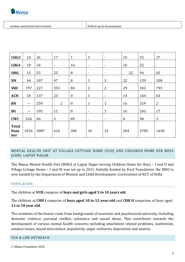

Intakes and Initial Intervention Follow up & Assessments

| CHG <sub>3</sub>                  | 10                       | 36   | 17             | $\mathbf{1}$     | 3                        | $\blacksquare$           | 19               | 52   | 37                       |
|-----------------------------------|--------------------------|------|----------------|------------------|--------------------------|--------------------------|------------------|------|--------------------------|
| CHG4                              | 10                       | 34   | $\blacksquare$ | 16               | $\overline{\phantom{a}}$ | $\blacksquare$           | 10               | 52   | $\overline{\phantom{a}}$ |
| <b>OHG</b>                        | 15                       | 53   | 25             | 8                | $\blacksquare$           | $\blacksquare$           | 22               | 94   | 65                       |
| <b>NN</b>                         | 44                       | 107  | 47             | 8                | $\mathbf{1}$             | 3                        | 22               | 139  | 108                      |
| <b>SSH</b>                        | 197                      | 227  | 353            | 84               | $\overline{2}$           | $\overline{2}$           | 29               | 342  | 793                      |
| <b>ACH</b>                        | 10                       | 137  | 23             | $\boldsymbol{0}$ | $\mathbf{1}$             | $\overline{\phantom{a}}$ | 14               | 164  | 63                       |
| BN                                | $\overline{\phantom{a}}$ | 259  | $\overline{2}$ | $\boldsymbol{0}$ | $\mathbf{1}$             | $\mathbf{1}$             | 16               | 319  | 2                        |
| <b>BG</b>                         | $\overline{\phantom{0}}$ | 195  | 11             | $\bf{0}$         | $\overline{\phantom{a}}$ | $\mathbf{1}$             | 16               | 243  | 17                       |
| <b>CWC</b>                        | 226                      | 66   | $\overline{2}$ | 85               | $\overline{\phantom{a}}$ | $\overline{\phantom{a}}$ | $\boldsymbol{0}$ | 96   | 3                        |
| <b>Total</b><br><b>Num</b><br>ber | 1026                     | 2087 | 616            | 384              | 10                       | 23                       | 204              | 2785 | 1430                     |

### MENTAL HEALTH UNIT AT VILLAGE COTTAGE HOME (VCH) AND CHILDREN HOME FOR BOYS (CHB), LAJPAT NAGAR

The Manas Mental Health Unit (MHU) at Lajpat Nagar serving Children Home for Boys – I and II and Village Cottage Home – I and III was set up in 2011. Initially funded by Ford Foundation, the MHU is now funded by the Department of Women and Child Development, Government of NCT of Delhi.

### POPULATION:

The children at **VCH** comprise of **boys and girls aged 5 to 10 years old**.

The children at **CHB I** comprise of **boys aged 10 to 12-year-old** and **CHB II** comprises of boys aged **13 to 18 year old**.

The residents of the homes come from backgrounds of economic and psychosocial adversity, including domestic violence, parental conflict, substance and sexual abuse. This contributes towards the development of various mental health concerns including attachment related problems, inattention, conduct issues, sexual misconduct, impulsivity, anger outbursts, depression and anxiety.

### VCH & CHB OUTREACH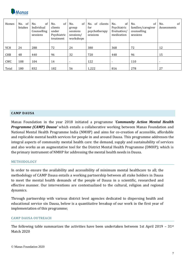

| Homes      | of<br>No.<br>Intakes | of<br>No.<br>Individual<br>Counselling<br>sessions | of<br>No.<br>clients<br>under<br>Psychiatric<br>treatment | No.<br>of<br>group<br>sessions<br>sessions/<br>workshops | of clients<br>No.<br>for<br>psychotherapy<br>sessions | of<br>No.<br>Psychiatric<br>Evaluation/<br>medication | of<br>No.<br>families/caregiver<br>counselling<br>sessions | of<br>No.<br>Assessments |
|------------|----------------------|----------------------------------------------------|-----------------------------------------------------------|----------------------------------------------------------|-------------------------------------------------------|-------------------------------------------------------|------------------------------------------------------------|--------------------------|
| <b>VCH</b> | 24                   | 288                                                | 72                                                        | 24                                                       | 380                                                   | 368                                                   | 72                                                         | 12                       |
| <b>CHB</b> | 48                   | 440                                                | 96                                                        | 32                                                       | 720                                                   | 448                                                   | 96                                                         | 15                       |
| CWC        | 108                  | 104                                                | 14                                                        | $\overline{\phantom{a}}$                                 | 122                                                   | $\overline{\phantom{a}}$                              | 110                                                        | $\overline{\phantom{a}}$ |
| Total      | 180                  | 832                                                | 182                                                       | 56                                                       | 1,222                                                 | 816                                                   | 278                                                        | 27                       |

#### **CAMP DAUSA**

Manas Foundation in the year 2018 initiated a programme *'Community Action Mental Health Programme (CAMP) Dausa'* which entails a collaborative working between Manas Foundation and National Mental Health Programme India (NMHP) and aims for co-creation of accessible, affordable and replicable mental health services for people in and around Dausa. This programme addresses the integral aspects of community mental health care: the demand, supply and sustainability of services and also works as an augmentative tool for the District Mental Health Programme (DMHP); which is the primary instrument of NMHP for addressing the mental health needs in Dausa.

### METHODOLOGY

In order to ensure the availability and accessibility of minimum mental healthcare to all; the methodology of CAMP Dausa entails a working partnership between all stake holders in Dausa to meet the mental health demands of the people of Dausa in a scientific, researched and effective manner. Our interventions are contextualized to the cultural, religion and regional dynamics.

Through partnership with various district level agencies dedicated to dispersing health and educational service sin Dausa, below is a quantitative breakup of our work in the first year of implementation of this programme;

#### CAMP DAUSA OUTREACH

The following table summarizes the activities have been undertaken between 1st April 2019 - 31<sup>st</sup> Match 2020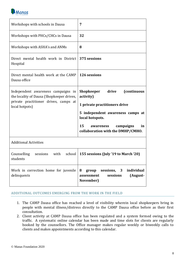

| Workshops with schools in Dausa                                                 | 7                                                                                          |
|---------------------------------------------------------------------------------|--------------------------------------------------------------------------------------------|
| Workshops with PHCs/CHCs in Dausa                                               | 32                                                                                         |
| Workshops with ASHA's and ANMs                                                  | 8                                                                                          |
| Direct mental health work in District<br>Hospital                               | 375 sessions                                                                               |
| Direct mental health work at the CAMP<br>Dausa office                           | 126 sessions                                                                               |
| Independent awareness campaigns in<br>the locality of Dausa (Shopkeeper drives, | <b>Shopkeeper</b><br>drive<br><i>(continuous)</i><br>activity)                             |
| private practitioner drives, camps at<br>local hotpots)                         | 1 private practitioners drive                                                              |
|                                                                                 | 5 independent awareness camps at<br>local hotspots.                                        |
|                                                                                 | 15<br>campaigns<br>in<br>awareness<br>collaboration with the DMHP/CMHO.                    |
| <b>Additional Activities</b>                                                    |                                                                                            |
| school<br>Counselling<br>sessions<br>with<br>students                           | 155 sessions (July '19 to March '20)                                                       |
| Work in correction home for juvenile<br>delinquents                             | sessions, 3<br>individual<br>group<br>8<br>sessions<br>(August-<br>assessment<br>November) |

### ADDITIONAL OUTCOMES EMERGING FROM THE WORK IN THE FIELD

- 1. The CAMP Dausa office has reached a level of visibility wherein local shopkeepers bring in people with mental illness/distress directly to the CAMP Dausa office before as their first consultation.
- 2. Client activity at CAMP Dausa office has been regulated and a system formed owing to the traffic. A systematic online calendar has been made and time slots for clients are regularly booked by the counsellors. The Office manager makes regular weekly or biweekly calls to clients and makes appointments according to this calendar.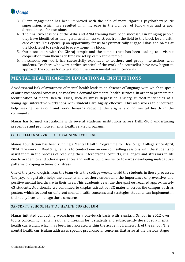

- 3. Client engagement has been improved with the help of more rigorous psychotherapeutic supervision, which has resulted in n increase in the number of follow ups and a goal directedness of the sessions.
- 4. The final two sessions of the Asha and ANM training have been successful in bringing people they have identified as having a mental illness/distress from the field to the block level health care centre. This opens up an opportunity for us to systematically engage Ashas and ANMs at the block level to reach out to every home in a block.
- 5. Our association with the Giriraj temple and the temple trust has been leading to a visible cooperation from them each time we set up camp at the temple.
- 6. In schools, our work has successfully expanded to teachers and group interactions with students. Teachers who were earlier sceptical of the work of a counsellor have now begun to approach the counsellor to talk about their own mental health concerns.

### **MENTAL HEALTHCARE IN EDUCATIONAL INSTITUTIONS**

A widespread lack of awareness of mental health leads to an absence of language with which to speak of our psychosocial concerns, or vocalize a demand for mental health services. In order to promote the identification of mental health issues, such as stress, depression, anxiety, suicidal tendencies, at a young age, interactive workshops with students are highly effective. This also works to encourage help seeking behaviour and work towards reducing the stigma around mental health in the community.

Manas has formed associations with several academic institutions across Delhi-NCR, undertaking preventive and promotive mental health related programs.

### COUNSELLING SERVICES AT DYAL SINGH COLLEGE

Manas Foundation has been running a Mental Health Programme for Dyal Singh College since April, 2014. The work in Dyal Singh entails to conduct one on one counselling sessions with the students to assist them in the process of resolving their interpersonal conflicts, challenges and stressors in life due to academics and other experiences and well as build resilience towards developing maladaptive patterns of coping in times of distress.

One of the psychologists from the team visits the college weekly to aid the students in these processes. The psychologist also helps the students and teachers understand the importance of preventive, and positive mental healthcare in their lives. This academic year, the therapist outreached approximately 63 students. Additionally we continued to display attractive IEC material across the campus such as posters which focused on different mental health concerns and strategies students can implement in their daily lives to manage these concerns.

### SANSKRITI SCHOOL MENTAL HEALTH CURRICULUM

Manas initiated conducting workshops on a one-touch basis with Sanskriti School in 2012 over topics concerning mental health and lifeskills for it students and subsequently developed a mental health curriculum which has been incorporated within the academic framework of the school. The mental health curriculum addresses specific psychosocial concerns that arise at the various stages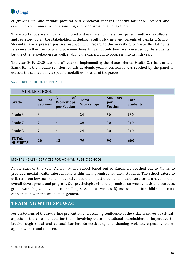

of growing up, and include physical and emotional changes, identity formation, respect and discipline, communication, relationships, and peer pressure among others.

These workshops are annually monitored and evaluated by the expert panel. Feedback is collected and reviewed by all the stakeholders including faculty, students and parents of Sanskriti School. Students have expressed positive feedback with regard to the workshop; consistently stating its relevance to their personal and academic lives. It has not only been well-received by the students but the other stakeholders as well, enabling the curriculum to progress into its fifth year.

The year 2019-2020 was the 6th year of implementing the Manas Mental Health Curriculum with Sanskriti. In the module revision for this academic year, a consensus was reached by the panel to execute the curriculum via specific modalities for each of the grades.

|                                | MIDDLE SCHOOL                |                                              |                                  |                                          |                                 |
|--------------------------------|------------------------------|----------------------------------------------|----------------------------------|------------------------------------------|---------------------------------|
| Grade                          | of<br>No.<br><b>Sections</b> | No.<br>of<br><b>Workshops</b><br>per Section | <b>Total</b><br><b>Workshops</b> | <b>Students</b><br>per<br><b>Section</b> | <b>Total</b><br><b>Students</b> |
| Grade 6                        | 6                            | $\overline{4}$                               | 24                               | 30                                       | 180                             |
| Grade 7                        | $\overline{7}$               | 4                                            | 28                               | 30                                       | 210                             |
| Grade 8                        | $\overline{7}$               | $\overline{4}$                               | 24                               | 30                                       | 210                             |
| <b>TOTAL</b><br><b>NUMBERS</b> | <b>20</b>                    | 12                                           | 76                               | 90                                       | 600                             |

### SANSKRITI SCHOOL OUTREACH

### MENTAL HEALTH SERVICES FOR ADHYAN PUBLIC SCHOOL

At the start of this year, Adhyan Public School based out of Kapashera reached out to Manas to provided mental health interventions within their premises for their students. The school caters to children from low income families and valued the impact that mental health services can have on their overall development and progress. Our psychologist visits the premises on weekly basis and conducts group workshops, individual counselling sessions as well as IQ Assessments for children in close coordination with the school management.

### **TRAINING WITH SPUWAC**

For custodians of the law, crime prevention and securing confidence of the citizens serves as critical aspects of the core mandate for them. Involving these institutional stakeholders is imperative to breakthrough social and cultural barriers domesticating and shaming violence, especially those against women and children.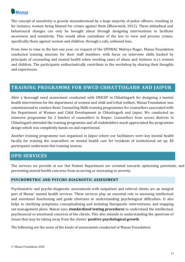

The concept of sensitivity is grossly misunderstood by a large majority of police officers, resulting in for instance, women being blamed for crimes against them (Bhowmick, 2012). These attitudinal and behavioural changes can only be brought about through designing interventions to facilitate awareness and sensitivity. This would allow custodians of the law to view and process crimes, specifically those against women and children, through a safe, unbiased lens.

From time to time in the last one year, on request of the SPUWAC Malviya Nagar, Manas Foundation conducted training sessions for their staff members with focus on interview skills backed by principals of counseling and mental health when working cases of abuse and violence w.r.t women and children. The participants enthusiastically contribute to the workshop by sharing their thoughts and experiences.

### **TRAINING PROGRAMME FOR DWCD CHHATTISGARH AND JAIPUR**

Afetr a thorough need assessment conducted with UNICEF in Chhattisgarh for designing a mental health intervention for the department of women and child and tribal welfare, Manas Foundation was commissioned to conduct Basic Counseling Skills training programmes for counsellors associated with the Department of Women and Child Development in Chhattisgarh and Jaipur. We conducted an intensive programme for 2 batches of counsellors in Raipur. Counsellors from across districts in Chhattisgarh attended the training programme and all stakeholders much appreciated the programme design which was completely hands on and experiential.

Another training programme was organized in Jaipur where our facilitators were key mental health faculty for training the counsellors on mental health care for residents of institutional set up. \$0 participants underwent this training session.

### **OPD SERVICES**

The services we provide at our Out Patient Department are oriented towards optimizing potentials, and preventing mental health concerns from occurring or increasing in severity.

### **PSYCHOMETRIC AND PSYCHO-DIAGNOSTIC ASSESSMENT**

Psychometric and psycho-diagnostic assessments with outpatient and referral clients are an integral part of Manas' mental health services. These services play an essential role in assessing intellectual and emotional functioning and guide clinicians in understanding psychological difficulties. It also helps in clarifying symptoms, conceptualizing and initiating therapeutic interventions, and mapping out management plans. Manas uses **standardized testing procedures** to understand the intellectual, psychosocial or emotional concerns of the clients. This also extends to understanding the spectrum of issues that may be taking away from the clients' **positive psychological growth**.

The following are the some of the kinds of assessments conducted at Manas Foundation: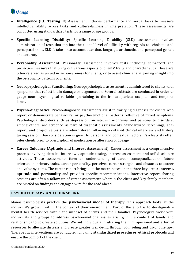

- **Intelligence (IQ) Testing**: IQ Assessment includes performance and verbal tasks to measure intellectual ability across tasks and culture-fairness in interpretation. These assessments are conducted using standardized tests for a range of age groups.
- **Specific Learning Disability**: Specific Learning Disability (SLD) assessment involves administration of tests that tap into the clients' level of difficulty with regards to scholastic and perceptual skills. SLD It takes into account attention, language, arithmetic, and perceptual gestalt and accuracy.
- **Personality Assessment**: Personality assessment involves tests including self-report and projective measures that bring out various aspects of clients' traits and characteristics. These are often referred as an aid in self-awareness for clients, or to assist clinicians in gaining insight into the personality patterns of clients.
- **Neuropsychological Functioning**: Neuropsychological assessment is administered to clients with symptoms that reflect brain damage or degeneration. Several subtests are conducted in order to gauge neuropsychological variables pertaining to the frontal, parietal-occipital, and temporal lobes.
- **Psycho-diagnostics**: Psycho-diagnostic assessments assist in clarifying diagnoses for clients who report or demonstrate behavioural or psycho-emotional patterns reflective of mixed symptoms. Psychological disorders such as depression, anxiety, schizophrenia, and personality disorders, among others, are screened as part of diagnostic assessments. Standardized screenings, selfreport, and projective tests are administered following a detailed clinical interview and history taking session. Due consideration is given to personal and contextual factors. Psychiatrists often refer clients prior to prescription of medication or alteration of dosage.
- **Career Guidance (Aptitude and Interest Assessment)**: Career assessment is a comprehensive process involving detailed interviews, aptitude testing, interest assessment, and self-disclosure activities. These assessments form an understanding of career conceptualizations, future orientation, primary traits, career-personality, perceived career strengths and obstacles to career and value systems. The career report brings out the match between the three key areas: **interest, aptitude and personality** and provides specific recommendations. Interactive report sharing sessions are often a follow up of career assessment, wherein the client and key family members are briefed on findings and engaged with for the road ahead.

### **PSYCHOTHERAPY AND COUNSELING**

Manas psychologists practice the **psychosocial model of therapy**. This approach looks at the individual's growth within the context of their environment. Part of the effort is to de-stigmatize mental health services within the mindset of clients and their families. Psychologists work with individuals and groups to address psycho-emotional issues arising in the context of family and relationships to co-create solutions. We aid individuals in utilizing their intrapersonal and external resources to alleviate distress and create greater well-being through counseling and psychotherapy. Therapeutic interventions are conducted following **standardized procedures, ethical protocols** and ensure the comfort of the client.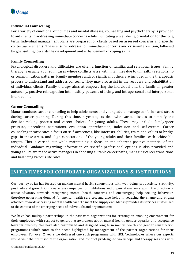

### **Individual Counselling**

For a variety of emotional difficulties and mental illnesses, counselling and psychotherapy is provided to aid clients in addressing immediate concerns while inculcating a well-being orientation for the long term. Individual management plans are prepared for clients based on assessed concerns and specific contextual elements. These ensure redressal of immediate concerns and crisis-intervention, followed by goal-setting towards the development and enhancement of coping skills.

### **Family Counselling**

Psychological disorders and difficulties are often a function of familial and relational issues. Family therapy is usually applied in cases where conflicts arise within families due to unhealthy relationship or communication patterns. Family members and/or significant others are included in the therapeutic process to understand and address concerns. They may also assist in the recovery and rehabilitation of individual clients. Family therapy aims at empowering the individual and the family in greater autonomy, positive reintegration into healthy patterns of living, and intrapersonal and interpersonal interactions.

### **Career Counselling**

Manas conducts career counseling to help adolescents and young adults manage confusion and stress during career planning. During this time, psychologists deal with various issues to simplify the decision-making process and career choices for young adults. These may include family/peer pressure, unrealistic aspirations, evaluation apprehension, indecision and self-esteem. Career counseling incorporates a focus on self-awareness, like interests, abilities, traits and values to bridge gaps in these areas, and align expectations of the young adults and their families with achievable targets. This is carried out while maintaining a focus on the inherent positive potential of the individual. Guidance regarding information on specific professional options is also provided and young adults are made active managers in choosing suitable career paths, managing career transitions and balancing various life roles.

### **INITIATIVES FOR CORPORATE ORGANIZATIONS & INSTITUTIONS**

Our journey so far has focused on making mental health synonymous with well-being, productivity, creativity, positivity and growth. Our awareness campaigns for institutions and organizations are steps in the direction of active advocacy towards recognizing mental health concerns and encouraging help seeking behaviour, therefore generating demand for mental health services, and also helps in reducing the shame and stigma attached towards accessing mental health care. To meet the supply end, Manas provides its services customized to the context of the emerging needs of individuals and organizations.

We have had multiple partnerships in the past with organizations for creating an enabling environment for their employees with respect to generating awareness about mental health, gender equality and acceptance towards diversity. We have also customized and designed long term mental health and gender sensitization programmes which cater to the needs highlighted by management of the partner organizations for their employees. For over 2 years we delivered one such programme with HCL Technologies where our experts would visit the premised of the organization and conduct predesigned workshops and therapy sessions with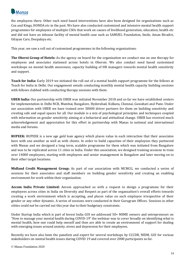

the employees there. Other such need based interventions have also been designed for organizations such as Cox and Kings, HONDA etc in the past. We have also conducted customized and intensive mental health support programmes for employees of multiple CSOs that work on causes of livelihood generation, education, health etc and did not have an inhouse facility of mental health case such as SAMUEL Foundation, Smile, Aman Biradiri, Udayan Care, Deepalaya etc.

This year, we saw a roll out of customized programmes in the following organizations:

**The Oberoi Group of Hotels:** As the agency on board for the organization we conduct one on one therapy for employees and associates stationed across hotels in Oberois. We also conduct need based customized workshops on mental health awareness, capacity building of HR managers towards mental health sensitivity and support.

**Teach for India:** Early 2019 we initiated the roll out of a mental health support programme for the fellows at Teach for India in Delhi. Our engagement entails conducting monthly mental health capacity building sessions with fellows clubbed with conducting therapy sessions with them.

**UBER India:** Our partnership with UBER was initiated November 2018 and so far we have established centers for implementation in Delhi NCR, Mumbai, Bangalore, Hyderabad, Kolkata, Chennai, Guwahati and Pune. Under our association with UBER we have trained over 50000 driver partners for them on building sensitivity and creating safe and equal spaces for all. Our module is a mix of psychological principles and techniques coupled with information on gender sensitivity aiming at a behavioral and attitudinal change. UBER has received much acknowledgement and appreciation for this effort in partnership with Manas in national and international media and forums.

**RUPEEK:** RUPEEK is a new age gold loan agency which places value in each interaction that their associates have with one another as well as with clients. In order to build capacities of their employees they partnered with Manas and we designed a long term, scalable programme for them which was initiated from Bangalore and was to be replicated across 11 cities in India. Under this association, we designed training sessions to train over 14000 employees, starting with employees and senior management in Bangalore and later moving on to their other target locations.

**Midland Credit Management Group;** As part of our association with MCMCG, we conducted a series of sessions for their associates and staff members on building gender sensitivity and creating an enabling environment for work within their organization.

**Aecom India Private Limited:** Aecom approached us with a request to design a programme for their employees across cities in India on Diversity and Respect as part of the organzaition's overall efforts towards creating a work environment which is accepting, and places value on each employee irrespective of their gender or any other dynamic. A series of sessions were conducted in their Gurugram Offices. Sessions in other citites could not be carried out this year due to their budgetary constraints.

Under Startup India which is part of Invest India GOI we addressed 50+ MSME owners and entrepreneurs on "How to manage your mental health during COVID-19" the webinar was to cover broadly on identifying what is mental health, how one could help oneself and then are able to create an environment of support for dealing with emerging issues around anxiety, stress and depression for their employees.

Recently we have also been the panelists and expert for several workshops by CCCDR, NIDM, GOI for various stakeholders on mental health issues during COVID 19 and covered over 2000 participants so far.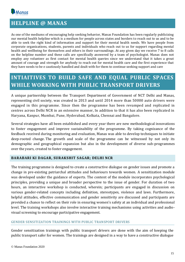

## **HELPLINE @ MANAS**

As one of the mediums of encouraging help seeking behavior, Manas Foundation has been regularly publicizing our mental health helpline which is a medium for people across states and borders to reach out to us and to be able to seek the right kind of information and support for their mental health needs. We have people from corporate organizations, students, parents and individuals who reach out to us for support regarding mental health and wellbeing for themselves and others in their surroundings. At any given day we receive 7 to 8 calls on the helpline number and these calls are specifically answered by a team of psychologist. Manas does not employ any volunteer as first contact for mental health queries since we understand that it takes a great amount of courage and strength for anybody to reach out for mental health care and the first experience that they have needs to be e cautiously handled and dealt with for them to continue seeking support and care

## **INTIAITIVES TO BUILD SAFE AND EQUAL PUBLIC SPACES WHILE WORKING WITH PUBLIC TRANSPORT DRIVERS**

A unique partnership between the Transport Department of Government of NCT Delhi and Manas, representing civil society, was created in 2013 and until 2014 more than 50000 auto drivers were engaged in this programme. Since then the programme has been revamped and replicated in centres across Delhi NCR in an extensive manner, In addition to that it has also been replicated in Haryana, Kanpur, Mumbai, Pune, Hyderabad, Kolkata, Chennai and Bangalore.

Several strategies have all been established and every year there are new methodological innovations to foster engagement and improve sustainability of the programme. By taking cognizance of the feedback received during monitoring and evaluation, Manas was able to develop techniques to initiate deep-rooted change. The growth and scale of the programme can be witnessed by not only its demographic and geographical expansion but also in the development of diverse sub-programmes over the years, created to foster engagement.

### **BARABARI KI DAGAR, SURAKSHIT SAGAR; DELHI NCR**

The training programme is designed to create a constructive dialogue on gender issues and promote a change in pre-existing patriarchal attitudes and behaviours towards women. A sensitization module was developed under the guidance of experts. The content of the module incorporates psychological principles, providing a unique and broader perspective to the issue of gender. For duration of two hours, an interactive workshop is conducted, wherein; participants are engaged in discussion on various gender-related concepts including definition, stereotypes, violence and laws. Furthermore, helpful attitudes, effective communication and gender sensitivity are discussed and participants are provided a chance to reflect on their role in ensuring women's safety at an individual and professional level. The training workshops also involve interactive training mechanisms using activities and audiovisual screening to encourage participative engagement.

### GENDER SENSITIZATION TRAININGS WITH PUBLIC TRANSPORT DRIVERS

Gender sensitization trainings with public transport drivers are done with the aim of keeping the public transport safer for women. The trainings are designed in a way to have a constructive dialogue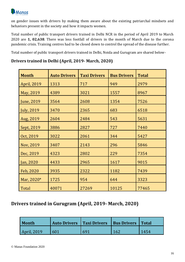

on gender issues with drivers by making them aware about the existing patriarchal mindsets and behaviors present in the society and how it impacts women.

Total number of public transport drivers trained in Delhi NCR in the period of April 2019 to March 2020 are **1, 02,638**. There was less footfall of drivers in the month of March due to the corona pandemic crisis. Training centres had to be closed down to control the spread of the disease further.

Total number of public transport drivers trained in Delhi, Noida and Gurugram are shared below-

| <b>Month</b>       | <b>Auto Drivers</b> | <b>Taxi Drivers</b> | <b>Bus Drivers</b> | <b>Total</b> |
|--------------------|---------------------|---------------------|--------------------|--------------|
| April, 2019        | 1313                | 717                 | 949                | 2979         |
| May, 2019          | 4389                | 3021                | 1557               | 8967         |
| June, 2019         | 3564                | 2608                | 1354               | 7526         |
| <b>July</b> , 2019 | 3470                | 2365                | 683                | 6518         |
| Aug, 2019          | 2604                | 2484                | 543                | 5631         |
| Sept, 2019         | 3886                | 2827                | 727                | 7440         |
| Oct, 2019          | 3022                | 2061                | 344                | 5427         |
| Nov, 2019          | 3407                | 2143                | 296                | 5846         |
| Dec, 2019          | 4323                | 2802                | 229                | 7354         |
| Jan, 2020          | 4433                | 2965                | 1617               | 9015         |
| Feb, 2020          | 3935                | 2322                | 1182               | 7439         |
| Mar, 2020*         | 1725                | 954                 | 644                | 3323         |
| Total              | 40071               | 27269               | 10125              | 77465        |

### **Drivers trained in Delhi (April, 2019- March, 2020)**

## **Drivers trained in Gurugram (April, 2019- March, 2020)**

| <b>Month</b>       | <b>Auto Drivers   Taxi Drivers</b> |     | Bus Drivers   Total |      |
|--------------------|------------------------------------|-----|---------------------|------|
| <b>April, 2019</b> | 601                                | 691 | 162                 | 1454 |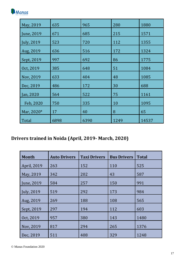

| May, 2019          | 635  | 965  | 280  | 1880  |
|--------------------|------|------|------|-------|
| June, 2019         | 671  | 685  | 215  | 1571  |
| <b>July</b> , 2019 | 523  | 720  | 112  | 1355  |
| Aug, 2019          | 636  | 516  | 172  | 1324  |
| Sept, 2019         | 997  | 692  | 86   | 1775  |
| Oct, 2019          | 385  | 648  | 51   | 1084  |
| Nov, 2019          | 633  | 404  | 48   | 1085  |
| Dec, 2019          | 486  | 172  | 30   | 688   |
| Jan, 2020          | 564  | 522  | 75   | 1161  |
| Feb, 2020          | 750  | 335  | 10   | 1095  |
| Mar, 2020*         | 17   | 40   | 8    | 65    |
| Total              | 6898 | 6390 | 1249 | 14537 |

## **Drivers trained in Noida (April, 2019- March, 2020)**

| <b>Month</b>       | <b>Auto Drivers</b> | <b>Taxi Drivers</b> | <b>Bus Drivers</b> | <b>Total</b> |
|--------------------|---------------------|---------------------|--------------------|--------------|
| April, 2019        | 263                 | 152                 | 110                | 525          |
| May, 2019          | 342                 | 202                 | 43                 | 587          |
| June, 2019         | 584                 | 257                 | 150                | 991          |
| <b>July</b> , 2019 | 519                 | 292                 | 173                | 984          |
| Aug, 2019          | 269                 | 188                 | 108                | 565          |
| Sept, 2019         | 297                 | 194                 | 112                | 603          |
| Oct, 2019          | 957                 | 380                 | 143                | 1480         |
| Nov, 2019          | 817                 | 294                 | 265                | 1376         |
| Dec, 2019          | 511                 | 408                 | 329                | 1248         |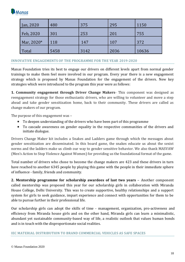

| Jan, 2020  | 480  | 375  | 295  | 1150  |
|------------|------|------|------|-------|
| Feb, 2020  | 301  | 253  | 201  | 755   |
| Mar, 2020* | 118  | 147  | 107  | 372   |
| Total      | 5458 | 3142 | 2036 | 10636 |

### INNOVATIVE ENGAGEMENTS OF THE PROGRAMME FOR THE YEAR 2019-2020

Manas Foundation tries its best to engage our drivers on different levels apart from normal gender trainings to make them feel more involved in our program. Every year there is a new engagement strategy which is proposed by Manas Foundation for the engagement of the drivers. New key strategies which were introduced to the program this year were as follows:

**1. Community engagement through Driver Change Makers**- This component was designed as reengagement strategy for those enthusiastic drivers, who are willing to volunteer and move a step ahead and take gender sensitization home, back to their community. These drivers are called as change makers of our program.

The purpose of this engagement was –

- To deepen understanding of the drivers who have been part of this programme
- To cascade awareness on gender equality in the respective communities of the drivers and initiate dialogue.

Drivers Change Maker kit includes a Snakes and Ladders game through which the messages about gender sensitization are disseminated. In this board game, the snakes educate us about the sexist norms and the ladders make us climb our way to gender sensitive behavior. We also thank MASVAW (Men's Action to Stop Violence Against Women) for providing us the foundational format of the game.

Total number of drivers who chose to become the change makers are 423 and these drivers in turn have reached to another 6345 people by playing this game with the people in their immediate sphere of influence - family, friends and community.

**2. Mentorship programme for scholarship awardees of last two years** – Another component called mentorship was proposed this year for our scholarship girls in collaboration with Miranda House College, Delhi University. This was to create supportive, healthy relationships and a support system for girls to seek guidance, impart experience and connect with opportunities for them to be able to pursue further in their professional life.

Our scholarship girls can adopt the skills of time - management, organization, pro-activeness and efficiency from Miranda house girls and on the other hand, Miranda girls can learn a minimalistic, abundant yet sustainable community-based way of life, a realistic outlook that values human bonds and is in touch with the disproportionate social realities.

#### IEC MATERIAL DISTRIBUTION TO BRAND COMMERCIAL VEHICLES AS SAFE SPACES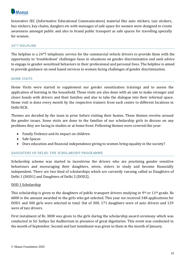

Innovative IEC (Informative Educational Communication) material like auto stickers, taxi stickers, bus stickers, key chains, danglers etc with messages of safe space for women were designed to create awareness amongst public and also to brand public transport as safe spaces for travelling specially for women.

### 24\*7 HELPLINE

The helpline is a 24\*7 telephonic service for the commercial vehicle drivers to provide them with the opportunity to 'troubleshoot' challenges faces in situations on gender discrimination and seek advice to engage in gender-sensitized behaviors in their professional and personal lives. The helpline is aimed to provide guidance on need based services to women facing challenges of gender discrimination.

### HOME VISITS

Home Visits were started to supplement our gender sensitization trainings and to assess the application of learning in the household. These visits are also done with an aim to make stronger and closer bonds with drivers and their families and also to take the dialogue into their informal space. Home visit is done every month by the respective trainers from each centre to different locations in Delhi NCR.

Themes are decided by the team in prior before visiting their homes. These themes revolve around the gender issues. Some visits are done to the families of our scholarship girls to discuss on any problems they are facing in studies or at home front. Following themes were covered this year:

- Family Violence and its impact on children
- Safe Spaces
- Does education and financial independence giving to women bring equality in the society?

### DAUGHTERS OF DELHI: THE SCHOLARSHIP PROGRAMME

Scholarship scheme was started to incentivise the drivers who are practising gender sensitive behaviours and encouraging their daughters, wives, sisters to study and become financially independent. There are two kind of scholarships which are currently running called as Daughters of Delhi 1 (DOD1) and Daughters of Delhi 2 (DOD2).

### DOD 1 Scholarship

This scholarship is given to the daughters of public transport drivers studying in 9<sup>th</sup> or 11<sup>th</sup> grade. Rs 6000 is the amount awarded to the girls who get selected. This year we received 348 applications for DOD1 and 300 girls were selected in total. Out of 300, 171 daughters were of auto drivers and 129 were of taxi drivers.

First instalment of Rs 3000 was given to the girls during the scholarship award ceremony which was conducted in Sri Sathya Sai Auditorium in presence of great dignitaries. This event was conducted in the month of September. Second and last instalment was given to them in the month of January.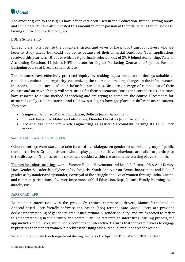

The amount given to these girls have effectively been used in their education, tuition, getting books and some parents have also invested this amount in other passion of their daughters like music class, buying a bicycle to reach school, etc.

### DOD 2 Scholarship

This scholarship is open to the daughters, sisters and wives of the public transport drivers who are keen to study ahead but could not do so because of their financial condition. Total applications received this year was 48, out of which 29 got finally selected. Out of 29, 9 joined Accounting/Tally at Accounting Solutions, 14 joined NIPS institute for Digital Marketing Course and 6 joined Fashion Designing course at Dream Zone institute.

The institutes have effectively practiced 'equity' by making adjustments to the timings suitable to candidates, maintaining regularity, customizing the course and making changes in the infrastructure in order to suit the needs of the scholarship candidates. Girls are on verge of completion of their courses and after which they will start sitting for their placements. During the corona crisis, institutes have resorted to online method of teaching and are trying to complete the course. Placements for accounting/tally students started and till now our 3 girls have got placed in different organizations. They are:

- Sangeeta has joined Manas Foundation, Delhi as Junior Accountant.
- B Kreeti has joined Maharaja Enterprises, Chandni Chowk as Junior Accountant
- Archana has joined Premnath Engineering as assistant accountant, earning Rs 11,000 per month.

### SAFE GAADI KA NEXT STOP OVER

Cohort meetings were started to take forward our dialogue on gender issues with a group of public transport drivers. Group of drivers who display gender sensitive behaviours are called to participate in the discussion. Themes for the cohort are decided within the team in the starting of every month.

Themes for cohort meetings were - Women Rights Movements and Legal Reforms, 498 A Anti Dowry Law, Gender & leadership, Cyber safety for girls, Youth Behavior on Sexual harassment and Role of gender as bystander and upstander, Portrayal of the struggle and live of women through India Cinema and common perceptions of viewer, importance of Girl Education, Rape Culture, Family Planning, Acid attacks, etc.

### SAFE GAADI APP

To maintain interaction with the previously trained commercial drivers, Manas formulated an Android-based; user friendly software application (app) termed 'Safe Gaadi'. Users are provided deeper understanding of gender-related issues, primarily gender equality, and are expected to reflect this understanding in their family and community. To facilitate an interesting learning process, the app includes the quizzes, multimedia content and interactive features that motivate drivers to engage in practices that respect women, thereby establishing safe and equal public spaces for women.

Total number of Safe Gaadi registered during the period of April, 2019 to March, 2020 is 7407.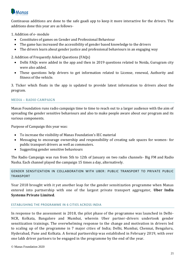

Continuous additions are done to the safe gaadi app to keep it more interactive for the drivers. The additions done this year are as follows-

1. Addition of e- module

- Constitutes of games on Gender and Professional Behaviour
- The game has increased the accessibility of gender based knowledge to the drivers
- The drivers learn about gender justice and professional behaviours in an engaging way

2. Addition of Frequently Asked Questions (FAQs)

- Delhi FAQs were added in the app and then in 2019 questions related to Noida, Gurugram city were also added.
- These questions help drivers to get information related to License, renewal, Authority and fitness of the vehicle.

3. Ticker which floats in the app is updated to provide latest information to drivers about the program.

### MEDIA – RADIO CAMPAIGN

Manas Foundation runs radio campaign time to time to reach out to a larger audience with the aim of spreading the gender sensitive behaviours and also to make people aware about our program and its various components.

Purpose of Campaign this year was:

- To increase the visibility of Manas Foundation's IEC material
- Messaging to encourage ownership and responsibility of creating safe spaces for women- for public transport drivers as well as commuters.
- Suggesting gender sensitive behaviours

The Radio Campaign was run from 5th to 12th of January on two radio channels- Big FM and Radio Nasha. Each channel played the campaign 15 times a day, alternatively.

GENDER SENSITIZATION IN COLLABORATION WITH UBER: PUBLIC TRANSPORT TO PRIVATE PUBLIC TRANSPORT

Year 2018 brought with it yet another leap for the gender sensitization programme when Manas entered into partnership with one of the largest private transport aggregator, **Uber India Systems Private Limited**.

### ESTABLISHING THE PROGRAMME IN 6 CITIES ACROSS INDIA

In response to the assessment in 2018, the pilot phase of the programme was launched in Delhi-NCR, Kolkata, Bangalore and Mumbai, wherein Uber partner-drivers undertook gender sensitization trainings. The overwhelming response to the change and motivation in drivers led to scaling up of the programme in 7 major cities of India; Delhi, Mumbai, Chennai, Bengaluru, Hyderabad, Pune and Kolkata. A formal partnership was established in February 2019, with over one lakh driver partners to be engaged in the programme by the end of the year.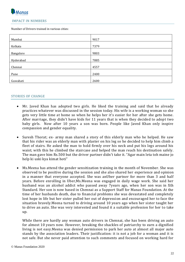

### IMPACT IN NUMBERS

Number of Drivers trained in various cities:

| Mumbai    | 9017 |
|-----------|------|
| Kolkata   | 7379 |
| Bangalore | 9803 |
| Hyderabad | 7885 |
| Chennai   | 4557 |
| Pune      | 2400 |
| Guwahati  | 2600 |

### STORIES OF CHANGE

- Mr. Javed Khan has adopted two girls. He liked the training and said that he already practices whatever was discussed in the session today. His wife is a working woman so she gets very little time at home so when he helps her it's easier for her after she gets home. After marriage, they didn't have kids for 11 years that is when they decided to adopt two baby girls. Now after 10 years a son was born. People like Javed Khan only inspire compassion and gender equality.
- Suresh Thorat; ex- army man shared a story of this elderly man who he helped. He saw that his rider was an elderly man with plaster on his leg so he decided to help him climb a fleet of stairs. He asked the man to hold firmly over his neck and put his legs around his waist; with this he climbed the staircase and helped the man reach his destination safely. The man gave him Rs.500 but the driver partner didn't take it. "Agar main leta toh maine jo help ki uski kya kimat hoti"
- Ms.Meena has attend the gender sensitization training in the month of November. She was observed to be positive during the session and she also shared her experience and opinion in a manner that everyone accepted. She was anUber partner for more than 3 and half years. Before enrolling in Uber,Ms.Meena was engaged in daily wage work. She said her husband was an alcohol addict who passed away 7years ago, when her son was in Xth Standard. Her son is now based in Chennai as a Support Staff for Manas Foundation. At the time of her husbands death, due to financial problems she was devastated and completely lost hope in life but her sister pulled her out of depression and encouraged her to face the situation bravely.Meena turned to driving around 10 years ago when her sister taught her to drive an auto. She was very interested and found it a suitable profession for her to take up.

While there are hardly any woman auto drivers in Chennai, she has been driving an auto for almost 10 years now. However, breaking the shackles of patriarchy to earn a dignified living is not easy.Meena was denied permission to park her auto at almost all major auto stands by the association leaders. Their justification: it is not a job for a woman and it is not safe. But she never paid attention to such comments and focused on working hard for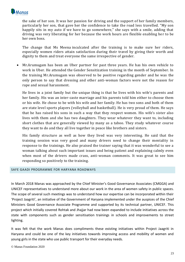

the sake of her son. It was her passion for driving and the support of her family members, particularly her son, that gave her the confidence to take the road less travelled. "My son happily sits in my auto if we have to go somewhere," she says with a smile, adding that driving was very liberating for her because the work hours are flexible enabling her to be her own boss.

The change that Ms Meena inculcated after the training is to make sure her riders, especially women riders attain satisfaction during their travel by giving their worth and dignity to them and treat everyone the same irrespective of gender.

• Mr.Arumugam has been an Uber partner for past three years. He has his own vehicle to work in Uber. He attended the Gender Sensitization training in the month of September. In the training Mr.Arumugam was observed to be positive regarding gender and he was the only person to say that dressing and other anti-woman factors were not the reason for rape and sexual harassment.

He lives in a joint family but the unique thing is that he lives with his wife's parents and her family. His was an inter-caste marriage and his parents told him either to choose them or his wife. He chose to be with his wife and her family. He has two sons and both of them are state level sports players (volleyball and basketball). He is very proud of them. He says that he has raised his sons in such a way that they respect women. His wife's sister also lives with them and she has two daughters. They wear whatever they want to, including short clothes that are generally viewed by many as a taboo. They study whatever course they want to do and they all live together in peace like brothers and sisters.

His family structure as well as how they lived was very interesting. He said that the training session was very good and many drivers need to change their mentality in response to the trainings. He also praised the trainer saying that it was wonderful to see a woman talking about such important issues and being patient and explaining calmly even when most of the drivers made crass, anti-woman comments. It was great to see him responding so positively to the training.

#### SAFE GAADI PROGRAMME FOR HARYANA ROADWAYS

In March 2018 Manas was approached by the Chief Minister's Good Governance Associates (CMGGA) and UNICEF representatives to understand more about our work in the area of women safety in public spaces. The scope of several such meetings was to understand how our expertise can be incorporated within their 'Project Jaagriti', an initiative of the Government of Haryana implemented under the auspices of the Chief Ministers Good Governance Associate Programme and supported by its technical partner, UNICEF. This project which initially covered Rohtak and Jhajjar had now been expanded to include initiatives across the state with components such as gender sensitisation trainings in schools and improvements to street lighting.

It was felt that the work Manas does compliments these existing initiatives within Project Jaagriti in Haryana and could be one of the key initiatives towards improving access and mobility of women and young girls in the state who use public transport for their everyday needs.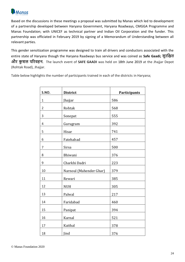

Based on the discussions in these meetings a proposal was submitted by Manas which led to development of a partnership developed between Haryana Government, Haryana Roadways, CMGGA Programme and Manas Foundation; with UNICEF as technical partner and Indian Oil Corporation and the funder. This partnership was officiated in February 2019 by signing of a Memorandum of Understanding between all relevant parties.

This gender sensitization programme was designed to train all drivers and conductors associated with the entire state of Haryana though the Haryana Raadways bus service and was coined as **Safe Gaadi; सुरक्षित और कु शल पररवहन.** The launch event of **SAFE GAADI** was held on 18th June 2019 at the Jhajjar Depot (Rohtak Road), Jhajjar.

Table below highlights the number of participants trained in each of the districts in Haryana;

| S.NO.          | <b>District</b>         | Participants |
|----------------|-------------------------|--------------|
| $\mathbf 1$    | Jhajjar                 | 586          |
| $\overline{2}$ | Rohtak                  | 568          |
| 3              | Sonepat                 | 555          |
| $\overline{4}$ | Gurugram                | 392          |
| 5              | Hisar                   | 741          |
| 6              | Fatehabad               | 457          |
| 7              | Sirsa                   | 500          |
| 8              | Bhiwani                 | 376          |
| 9              | Charkhi Dadri           | 223          |
| 10             | Narnoul (Mahender Ghar) | 379          |
| 11             | Rewari                  | 385          |
| 12             | <b>NUH</b>              | 305          |
| 13             | Palwal                  | 217          |
| 14             | Faridabad               | 460          |
| 15             | Panipat                 | 394          |
| 16             | Karnal                  | 521          |
| 17             | Kaithal                 | 378          |
| 18             | Jind                    | 376          |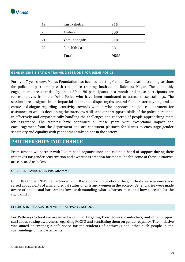

| 19 | Kurukshetra  | 355  |
|----|--------------|------|
| 20 | Ambala       | 500  |
| 21 | Yamunanagar  | 510  |
| 22 | Panchkhula   | 381  |
|    | <b>Total</b> | 9558 |

#### **GENDER SENSITIZATION TRAINING SESSIONS FOR DELHI POLICE**

For over 7 years now, Manas Foundation has been conducting Gender Sensitization training sessions for police in partnership with the police training institute in Rajendra Nagar. These monthly engagements are attended by about 80 to 90 participants in a month and these participants are representatives from the Delhi Police who have been nominated to attend these trainings. The sessions are designed in an impactful manner to dispel myths around Gender stereotyping and to create a dialogue regarding sensitivity towards women who approach the police department for assistance as well as developing the interview skills and other supports skills of the police personnel in effectively and empathetically handling the challenges and concerns of people approaching them for assistance. The training have continued all these years with exceptional impact and encouragement from the department and are consistent platform for Manus to encourage gender sensitivity and equality with yet another stakeholder in the society.

### **PARTNERSHIPS FOR CHANGE**

From time to we partner with like-minded organisations and extend a hand of support during their initiatives for gender sensitization and awareness creation for mental health some of these initiatives are captured as below

#### GIRL CILD AWARENESS PROGRAMME

On 11th October 2019 be partnered with Rasta School to celebrate the girl child day awareness was raised about rights of girls and equal status of girls and women in the society. Beneficiaries were made aware of anti-sexual harassment laws understanding what is harrassment and how to reach for the right kind of

### EFFORTS IN ASSOCIATION WITH PATHWAYS SCHOOL

For Pathways School we organised a seminar targeting their drivers, conductors, and other support staff about raising awareness regarding POCSO and sensitizing them on gender equality. The initiative was aimed at creating a safe space for the students of pathways and other such people in the surroundings of the participants.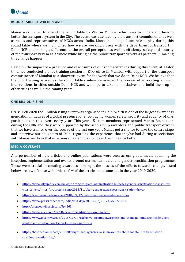

#### ROUND TABLE BY WRI IN MUMBAI

Manas was invited to attend the round table by WRI in Mumbai which was to understand how to better the transport system in the City. The event was attended by the transport commissioner as well as heads and representatives of NGOs across India. Manas had a significant role to play during this round table where we highlighted how we are working closely with the department of transport in Delhi NCR and making a difference to the overall perception as well as efficiency, safety and security of the transport system as a whole while bringing the public transport drivers as partners in making this change happen

Based on the impact of a presence and disclosures of our representatives during this event, at a later time, we conducted a pilot training session in RTO office in Mumbai with support of the transport commissioner of Mumbai as a showcase event for the work that we do in Delhi NCR. We believe that the pilot training as well as the round table conference assisted the process of advocating for such interventions in cities outside Delhi NCR and we hope to take our initiatives and build them up in other cities as well in the coming years

#### ONE BILLION RISING

ON 3rd Feb 2020 the 1 billion rising event was organised in Delhi which is one of the largest awareness generation initiatives of a global presence for encouraging women safety, security and equality. Manas participates in this event every year. This year 15 team members represented Manas Foundation during the OBR and they were supported by the scholarship awardees and public transport drivers that we have trained over the course of the last one year. Manas got a chance to take the centre stage and interview our daughters of Delhi regarding the experience that they've had during associations with Manas and how that experience has led to a change in their lives for better.

#### **MEDIA COVERAGE**

A large number of new articles and online publications were seen across global media spanning the inception, implementation and events around our mental health and gender sensitization programmes. These were crucial in creating awareness amongst the masses of the efforts towards change. Listed below are few of these web-links to few of the articles that came out in the year 2019-2020.

- [https://www.cityspidey.com/news/6276/gurugram-administration-launches-gender-sensitisation-classes-for](https://www.cityspidey.com/news/6276/gurugram-administration-launches-gender-sensitisation-classes-for-citys-drivers/)[citys-drivers/](https://www.cityspidey.com/news/6276/gurugram-administration-launches-gender-sensitisation-classes-for-citys-drivers/)<https://yourstory.com/2018/11/uber-gender-awareness-sensitisation-driver>
- <https://campaignbriefasia.com/2018/09/12/milestone-dentsu-and-manas-fou/>
- <https://www.pressreader.com/india/mid-day/20190307/281741270728641>
- <http://thegoodwillproject.in/?p=263>
- <https://www.uber.com/en-TR/newsroom/driving-more-change/>
- [https://www.inventiva.co.in/2018/11/14/exclusive-creating-awareness-and-changing-mindsets-inside-ubers](https://www.inventiva.co.in/2018/11/14/exclusive-creating-awareness-and-changing-mindsets-inside-ubers-gender-sensitisation-workshop-for-driver-partners/)[gender-sensitisation-workshop-for-driver-partners/](https://www.inventiva.co.in/2018/11/14/exclusive-creating-awareness-and-changing-mindsets-inside-ubers-gender-sensitisation-workshop-for-driver-partners/)
- [https://bestmediainfo.com/2018/09/ngos-and-agencies-raise-awareness-about-mental-health-on-world](https://bestmediainfo.com/2018/09/ngos-and-agencies-raise-awareness-about-mental-health-on-world-suicide-prevention-day/)[suicide-prevention-day/](https://bestmediainfo.com/2018/09/ngos-and-agencies-raise-awareness-about-mental-health-on-world-suicide-prevention-day/)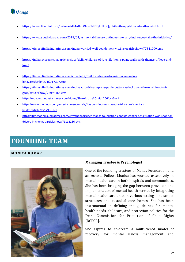

- <https://www.livemint.com/Leisure/dh4nHxciNcwSMt8QAHApCJ/Philanthropy-Money-for-the-mind.html>
- <https://www.youthkiawaaz.com/2018/04/as-mental-illness-continues-to-worry-india-ngos-take-the-initiative/>
- <https://timesofindia.indiatimes.com/india/worried-well-covids-new-victims/articleshow/77341009.cms>
- [https://indianexpress.com/article/cities/delhi/children-of-juvenile-home-paint-walls-with-themes-of-love-and](https://indianexpress.com/article/cities/delhi/children-of-juvenile-home-paint-walls-with-themes-of-love-and-loss/)[loss/](https://indianexpress.com/article/cities/delhi/children-of-juvenile-home-paint-walls-with-themes-of-love-and-loss/)
- [https://timesofindia.indiatimes.com/city/delhi/Children-homes-turn-into-canvas-for](https://timesofindia.indiatimes.com/city/delhi/Children-homes-turn-into-canvas-for-kids/articleshow/45017327.cms)[kids/articleshow/45017327.cms](https://timesofindia.indiatimes.com/city/delhi/Children-homes-turn-into-canvas-for-kids/articleshow/45017327.cms)
- [https://timesofindia.indiatimes.com/india/auto-drivers-press-panic-button-as-lockdown-throws-life-out-of](https://timesofindia.indiatimes.com/india/auto-drivers-press-panic-button-as-lockdown-throws-life-out-of-gear/articleshow/76093164.cms)[gear/articleshow/76093164.cms](https://timesofindia.indiatimes.com/india/auto-drivers-press-panic-button-as-lockdown-throws-life-out-of-gear/articleshow/76093164.cms)
- <https://epaper.hindustantimes.com/Home/ShareArticle?OrgId=206fbca5ac1>
- [https://www.thehindu.com/entertainment/music/foryourmind-music-and-art-in-aid-of-mental](https://www.thehindu.com/entertainment/music/foryourmind-music-and-art-in-aid-of-mental-health/article32212956.ece)[health/article32212956.ece](https://www.thehindu.com/entertainment/music/foryourmind-music-and-art-in-aid-of-mental-health/article32212956.ece)
- [https://timesofindia.indiatimes.com/city/chennai/uber-manas-foundation-conduct-gender-sensitisation-workshop-for](https://timesofindia.indiatimes.com/city/chennai/uber-manas-foundation-conduct-gender-sensitisation-workshop-for-drivers-in-chennai/articleshow/71112266.cms)[drivers-in-chennai/articleshow/71112266.cms](https://timesofindia.indiatimes.com/city/chennai/uber-manas-foundation-conduct-gender-sensitisation-workshop-for-drivers-in-chennai/articleshow/71112266.cms)

# **FOUNDING TEAM**

### **MONICA KUMAR**



### **Managing Trustee & Psychologist**

One of the founding trustees of Manas Foundation and an Ashoka Fellow, Monica has worked extensively in mental health care in both hospitals and communities. She has been bridging the gap between provision and implementation of mental health service by integrating mental health care units in various settings like school structures and custodial care homes. She has been instrumental in defining the guidelines for mental health needs, childcare, and protection policies for the Delhi Commission for Protection of Child Rights [DCPCR].

She aspires to co-create a multi-tiered model of recovery for mental illness management and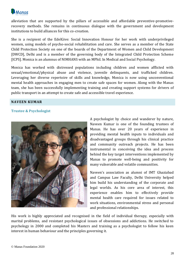

alleviation that are supported by the pillars of accessible and affordable preventive-promotiverecovery methods. She remains in continuous dialogue with the government and development institutions to build alliances for this co-creation.

She is a recipient of the EdelGive: Social Innovation Honour for her work with underprivileged women, using models of psycho-social rehabilitation and care. She serves as a member of the State Child Protection Society on one of the boards of the Department of Women and Child Development [DWCD], Delhi and is a member of the governing body of the Integrated Child Protection Scheme [ICPS]. Monica is an alumnus of NIMHANS with an MPhil. In Medical and Social Psychology.

Monica has worked with distressed populations including children and women afflicted with sexual/emotional/physical abuse and violence, juvenile delinquents, and trafficked children. Leveraging her diverse repertoire of skills and knowledge, Monica is now using unconventional mental health approaches in engaging men to create safe spaces for women. Along with the Manas team, she has been successfully implementing training and creating support systems for drivers of public transport in an attempt to create safe and accessible travel experience.

### **NAVEEN KUMAR**

### **Trustee & Psychologist**



A psychologist by choice and wanderer by nature, Naveen Kumar is one of the founding trustees of Manas. He has over 20 years of experience in providing mental health inputs to individuals and disadvantaged groups through his clinical practice and community outreach projects. He has been instrumental in conceiving the idea and process behind the key target interventions implemented by Manas to promote well-being and positivity for many vulnerable and volatile communities.

Naveen's association as alumni of IMT Ghaziabad and Campus Law Faculty, Delhi University helped him build his understanding of the corporate and legal worlds. As his core area of interest, this experience enables him to effectively provide mental health care required for issues related to work situations, environmental stress and personal and professional relationships.

His work is highly appreciated and recognised in the field of individual therapy, especially with marital problems, and resistant psychological issues of obsessions and addictions. He switched to psychology in 2000 and completed his Masters and training as a psychologist to follow his keen interest in human behaviour and the principles governing it.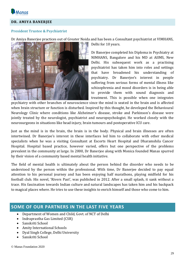

### **DR. AMIYA BANERJEE**

### **President Trustee & Psychiatrist**

Dr Amiya Banerjee practices out of Greater Noida and has been a Consultant psychiatrist at VIMHANS,



Delhi for 10 years.

Dr Banerjee completed his Diploma in Psychiatry at NIMHANS, Bangalore and his MD at AIIMS, New Delhi. His subsequent work as a practising psychiatrist has taken him into roles and settings that have broadened his understanding of psychiatry. Dr Banerjee's interest in people suffering from serious forms of mental illness like schizophrenia and mood disorders is in being able to provide them with sound diagnosis and treatment. This is possible when one integrates

psychiatry with other branches of neuroscience since the mind is seated in the brain and is affected when brain structure or function is disturbed. Inspired by this thought, he developed the Behavioural Neurology Clinic where conditions like Alzheimer's disease, stroke and Parkinson's disease were jointly treated by the neurologist, psychiatrist and neuropsychologist. He worked closely with the neurosurgeons in situations like head injury, brain tumours and postoperative ICU care.

Just as the mind is in the brain, the brain is in the body. Physical and brain illnesses are often intertwined. Dr Banerjee's interest in these interfaces led him to collaborate with other medical specialists when he was a visiting Consultant at Escorts Heart Hospital and Dharamshila Cancer Hospital. Hospital based practice, however varied, offers but one perspective of the problems prevalent in the community at large. In 2000, Dr Banerjee along with Monica founded Manas spurred by their vision of a community based mental health initiative.

The field of mental health is ultimately about the person behind the disorder who needs to be understood by the person within the professional. With time, Dr Banerjee decided to pay equal attention to his personal journey and has been enjoying half marathons, playing midfield for his football club. His novel, 'Rivers Past', was published in 2012. After a small splash, it sank without a trace. His fascination towards Indian culture and natural landscapes has taken him and his backpack to magical places where. He tries to use these insights to enrich himself and those who come to him.

### **SOME OF OUR PARTNERS IN THE LAST FIVE YEARS**

- Department of Women and Child, Govt. of NCT of Delhi
- Indraprastha Gas Limited (CSR)
- Sanskriti School
- Amity International Schools
- Dyal Singh College, Delhi University
- Sanskriti School